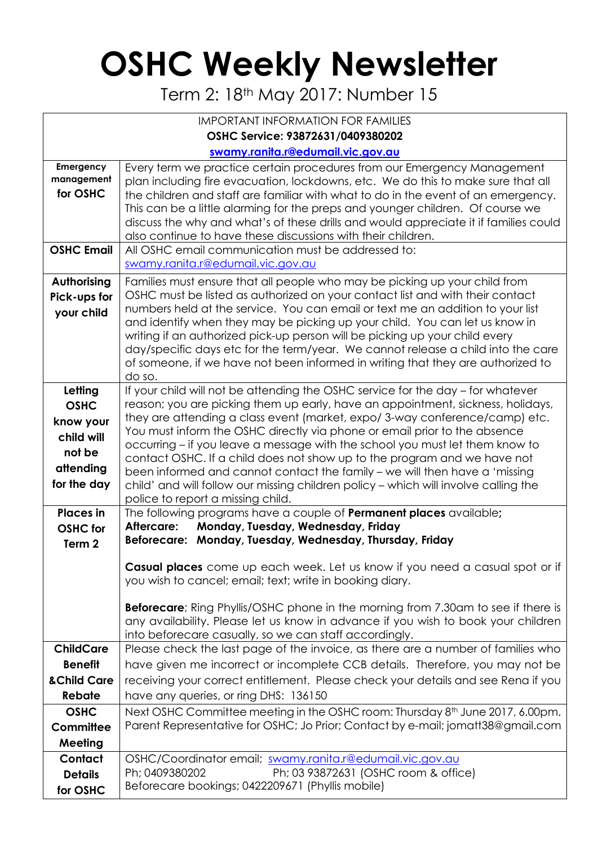## **OSHC Weekly Newsletter**

Term 2: 18th May 2017: Number 15

| <b>IMPORTANT INFORMATION FOR FAMILIES</b>                                               |                                                                                                                                                                                                                                                                                                                                                                                                                                                                                                                                                                                                                                                                                                     |  |  |  |  |  |  |
|-----------------------------------------------------------------------------------------|-----------------------------------------------------------------------------------------------------------------------------------------------------------------------------------------------------------------------------------------------------------------------------------------------------------------------------------------------------------------------------------------------------------------------------------------------------------------------------------------------------------------------------------------------------------------------------------------------------------------------------------------------------------------------------------------------------|--|--|--|--|--|--|
| OSHC Service: 93872631/0409380202                                                       |                                                                                                                                                                                                                                                                                                                                                                                                                                                                                                                                                                                                                                                                                                     |  |  |  |  |  |  |
|                                                                                         | swamy.ranita.r@edumail.vic.gov.au                                                                                                                                                                                                                                                                                                                                                                                                                                                                                                                                                                                                                                                                   |  |  |  |  |  |  |
| Emergency<br>management<br>for OSHC                                                     | Every term we practice certain procedures from our Emergency Management<br>plan including fire evacuation, lockdowns, etc. We do this to make sure that all<br>the children and staff are familiar with what to do in the event of an emergency.<br>This can be a little alarming for the preps and younger children. Of course we<br>discuss the why and what's of these drills and would appreciate it if families could<br>also continue to have these discussions with their children.                                                                                                                                                                                                          |  |  |  |  |  |  |
| <b>OSHC Email</b>                                                                       | All OSHC email communication must be addressed to:<br>swamy.ranita.r@edumail.vic.gov.au                                                                                                                                                                                                                                                                                                                                                                                                                                                                                                                                                                                                             |  |  |  |  |  |  |
| Authorising<br>Pick-ups for<br>your child                                               | Families must ensure that all people who may be picking up your child from<br>OSHC must be listed as authorized on your contact list and with their contact<br>numbers held at the service. You can email or text me an addition to your list<br>and identify when they may be picking up your child. You can let us know in<br>writing if an authorized pick-up person will be picking up your child every<br>day/specific days etc for the term/year. We cannot release a child into the care<br>of someone, if we have not been informed in writing that they are authorized to<br>do so.                                                                                                        |  |  |  |  |  |  |
| Letting<br><b>OSHC</b><br>know your<br>child will<br>not be<br>attending<br>for the day | If your child will not be attending the OSHC service for the day - for whatever<br>reason; you are picking them up early, have an appointment, sickness, holidays,<br>they are attending a class event (market, expo/3-way conference/camp) etc.<br>You must inform the OSHC directly via phone or email prior to the absence<br>occurring – if you leave a message with the school you must let them know to<br>contact OSHC. If a child does not show up to the program and we have not<br>been informed and cannot contact the family - we will then have a 'missing<br>child' and will follow our missing children policy - which will involve calling the<br>police to report a missing child. |  |  |  |  |  |  |
| <b>Places</b> in<br><b>OSHC</b> for<br>Term <sub>2</sub>                                | The following programs have a couple of <b>Permanent places</b> available;<br>Monday, Tuesday, Wednesday, Friday<br>Aftercare:<br>Beforecare: Monday, Tuesday, Wednesday, Thursday, Friday                                                                                                                                                                                                                                                                                                                                                                                                                                                                                                          |  |  |  |  |  |  |
|                                                                                         | Casual places come up each week. Let us know if you need a casual spot or if<br>you wish to cancel; email; text; write in booking diary.<br><b>Beforecare</b> ; Ring Phyllis/OSHC phone in the morning from 7.30am to see if there is<br>any availability. Please let us know in advance if you wish to book your children<br>into beforecare casually, so we can staff accordingly.                                                                                                                                                                                                                                                                                                                |  |  |  |  |  |  |
| <b>ChildCare</b><br><b>Benefit</b><br>& Child Care                                      | Please check the last page of the invoice, as there are a number of families who<br>have given me incorrect or incomplete CCB details. Therefore, you may not be<br>receiving your correct entitlement. Please check your details and see Rena if you                                                                                                                                                                                                                                                                                                                                                                                                                                               |  |  |  |  |  |  |
| <b>Rebate</b>                                                                           | have any queries, or ring DHS: 136150                                                                                                                                                                                                                                                                                                                                                                                                                                                                                                                                                                                                                                                               |  |  |  |  |  |  |
| <b>OSHC</b><br>Committee<br>Meeting                                                     | Next OSHC Committee meeting in the OSHC room: Thursday 8 <sup>th</sup> June 2017, 6.00pm.<br>Parent Representative for OSHC; Jo Prior; Contact by e-mail; jomatt38@gmail.com                                                                                                                                                                                                                                                                                                                                                                                                                                                                                                                        |  |  |  |  |  |  |
| Contact<br><b>Details</b><br>for OSHC                                                   | OSHC/Coordinator email; swamy.ranita.r@edumail.vic.gov.au<br>Ph; 0409380202<br>Ph; 03 93872631 (OSHC room & office)<br>Beforecare bookings; 0422209671 (Phyllis mobile)                                                                                                                                                                                                                                                                                                                                                                                                                                                                                                                             |  |  |  |  |  |  |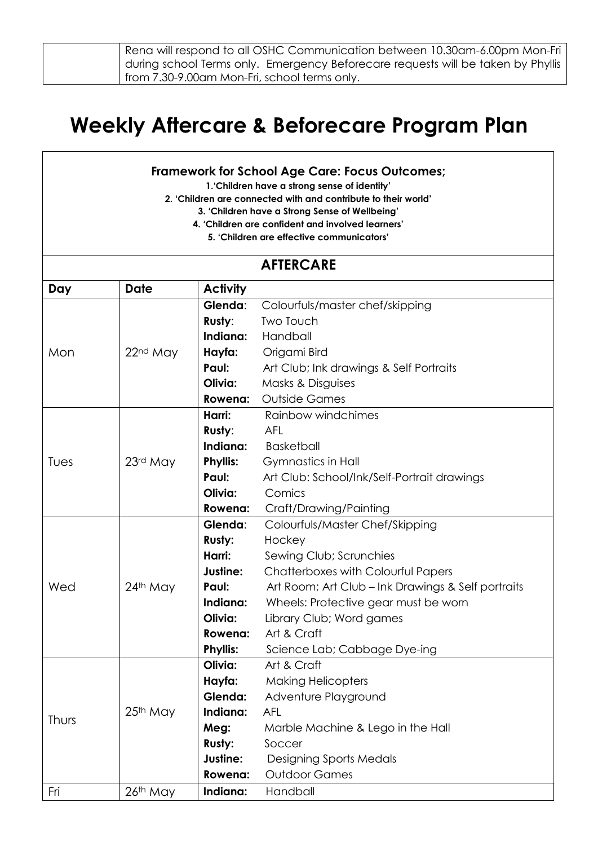| Rena will respond to all OSHC Communication between 10.30am-6.00pm Mon-Fri        |
|-----------------------------------------------------------------------------------|
| during school Terms only.  Emergency Beforecare requests will be taken by Phyllis |
| from 7.30-9.00am Mon-Fri, school terms only.                                      |

## **Weekly Aftercare & Beforecare Program Plan**

## **Framework for School Age Care: Focus Outcomes;**

**1.'Children have a strong sense of identity'**

**2. 'Children are connected with and contribute to their world'**

**3. 'Children have a Strong Sense of Wellbeing'**

- **4. 'Children are confident and involved learners'**
	- **5. 'Children are effective communicators'**

## **AFTERCARE Day Date Activity** Mon 22<sup>nd</sup> May **Glenda**: Colourfuls/master chef/skipping **Rusty**: Two Touch **Indiana:** Handball **Hayfa:** Origami Bird **Paul:** Art Club; Ink drawings & Self Portraits **Olivia:** Masks & Disguises **Rowena:** Outside Games Tues 23<sup>rd</sup> May **Harri:** Rainbow windchimes **Rusty**: AFL **Indiana:** Basketball **Phyllis:** Gymnastics in Hall Paul: Art Club: School/Ink/Self-Portrait drawings **Olivia:** Comics **Rowena:** Craft/Drawing/Painting Wed 24<sup>th</sup> May **Glenda**: Colourfuls/Master Chef/Skipping **Rusty:** Hockey **Harri:** Sewing Club; Scrunchies **Justine:** Chatterboxes with Colourful Papers Paul: Art Room; Art Club – Ink Drawings & Self portraits **Indiana:** Wheels: Protective gear must be worn **Olivia:** Library Club; Word games **Rowena:** Art & Craft **Phyllis:** Science Lab; Cabbage Dye-ing Thurs  $\Big| 25^{th}$  May **Olivia:** Art & Craft **Hayfa:** Making Helicopters **Glenda:** Adventure Playground **Indiana:** AFL **Meg:** Marble Machine & Lego in the Hall **Rusty:** Soccer **Justine:** Designing Sports Medals **Rowena:** Outdoor Games Fri 26th May **Indiana:** Handball